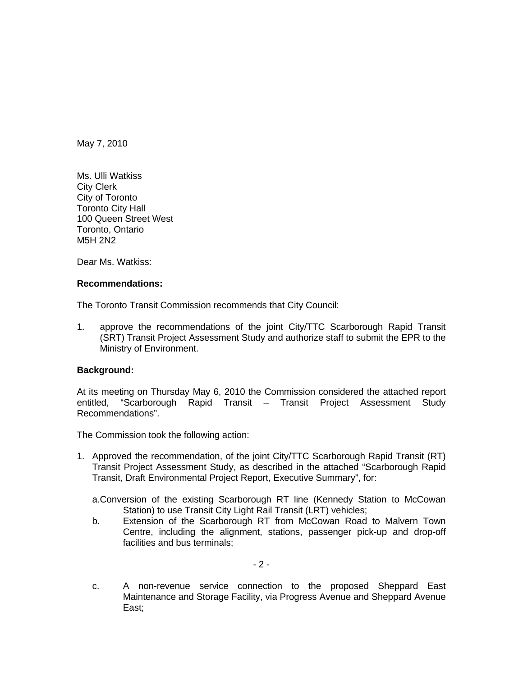May 7, 2010

Ms. Ulli Watkiss City Clerk City of Toronto Toronto City Hall 100 Queen Street West Toronto, Ontario M5H 2N2

Dear Ms. Watkiss:

## **Recommendations:**

The Toronto Transit Commission recommends that City Council:

1. approve the recommendations of the joint City/TTC Scarborough Rapid Transit (SRT) Transit Project Assessment Study and authorize staff to submit the EPR to the Ministry of Environment.

## **Background:**

At its meeting on Thursday May 6, 2010 the Commission considered the attached report entitled, "Scarborough Rapid Transit – Transit Project Assessment Study Recommendations".

The Commission took the following action:

- 1. Approved the recommendation, of the joint City/TTC Scarborough Rapid Transit (RT) Transit Project Assessment Study, as described in the attached "Scarborough Rapid Transit, Draft Environmental Project Report, Executive Summary", for:
	- a.Conversion of the existing Scarborough RT line (Kennedy Station to McCowan Station) to use Transit City Light Rail Transit (LRT) vehicles;
	- b. Extension of the Scarborough RT from McCowan Road to Malvern Town Centre, including the alignment, stations, passenger pick-up and drop-off facilities and bus terminals; example and the state of the state of the state of the state of the state of the state of the state of the state of the state of the state of the state of the state of the state of the state o

c. A non-revenue service connection to the proposed Sheppard East Maintenance and Storage Facility, via Progress Avenue and Sheppard Avenue East;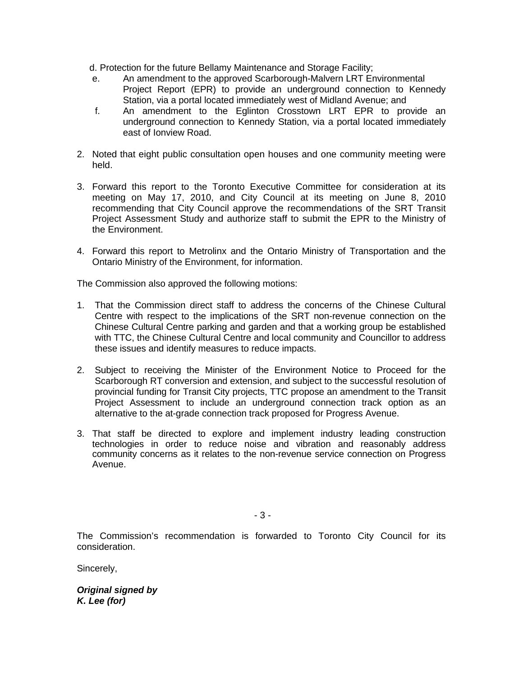d. Protection for the future Bellamy Maintenance and Storage Facility;

- e. An amendment to the approved Scarborough-Malvern LRT Environmental Project Report (EPR) to provide an underground connection to Kennedy Station, via a portal located immediately west of Midland Avenue; and
- f. An amendment to the Eglinton Crosstown LRT EPR to provide an underground connection to Kennedy Station, via <sup>a</sup> portal located immediately east of Ionview Road.
- 2. Noted that eight public consultation open houses and one community meeting were held.
- 3. Forward this report to the Toronto Executive Committee for consideration at its meeting on May 17, 2010, and City Council at its meeting on June 8, 2010 recommending that City Council approve the recommendations of the SRT Transit Project Assessment Study and authorize staff to submit the EPR to the Ministry of the Environment.
- 4. Forward this report to Metrolinx and the Ontario Ministry of Transportation and the Ontario Ministry of the Environment, for information.

The Commission also approved the following motions:

- 1. That the Commission direct staff to address the concerns of the Chinese Cultural Centre with respect to the implications of the SRT non-revenue connection on the Chinese Cultural Centre parking and garden and that a working group be established with TTC, the Chinese Cultural Centre and local community and Councillor to address these issues and identify measures to reduce impacts.
- 2. Subject to receiving the Minister of the Environment Notice to Proceed for the Scarborough RT conversion and extension, and subject to the successful resolution of provincial funding for Transit City projects, TTC propose an amendment to the Transit Project Assessment to include an underground connection track option as an alternative to the at-grade connection track proposed for Progress Avenue.
- 3. That staff be directed to explore and implement industry leading construction technologies in order to reduce noise and vibration and reasonably address community concerns as it relates to the non-revenue service connection on Progress Avenue.

- 3 -

The Commission's recommendation is forwarded to Toronto City Council for its consideration. The construction of the construction of the construction of the consideration.

Sincerely,

**Original signed by K. Lee (for)**